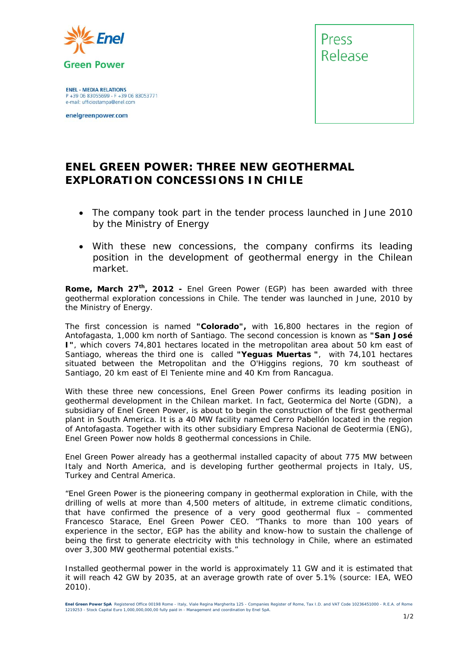

**ENEL - MEDIA RELATIONS** P +39 06 83055699 - F +39 06 83053771 e-mail: ufficiostampa@enel.com

enelgreenpower.com



## **ENEL GREEN POWER: THREE NEW GEOTHERMAL EXPLORATION CONCESSIONS IN CHILE**

- *The company took part in the tender process launched in June 2010 by the Ministry of Energy*
- *With these new concessions, the company confirms its leading position in the development of geothermal energy in the Chilean market.*

**Rome, March 27th, 2012 -** Enel Green Power (EGP) has been awarded with three geothermal exploration concessions in Chile. The tender was launched in June, 2010 by the Ministry of Energy.

The first concession is named **"Colorado",** with 16,800 hectares in the region of Antofagasta, 1,000 km north of Santiago. The second concession is known as **"San José I"**, which covers 74,801 hectares located in the metropolitan area about 50 km east of Santiago, whereas the third one is called **"Yeguas Muertas "**, with 74,101 hectares situated between the Metropolitan and the O'Higgins regions, 70 km southeast of Santiago, 20 km east of El Teniente mine and 40 Km from Rancagua.

With these three new concessions, Enel Green Power confirms its leading position in geothermal development in the Chilean market. In fact, Geotermica del Norte (GDN), a subsidiary of Enel Green Power, is about to begin the construction of the first geothermal plant in South America. It is a 40 MW facility named Cerro Pabellón located in the region of Antofagasta. Together with its other subsidiary Empresa Nacional de Geotermia (ENG), Enel Green Power now holds 8 geothermal concessions in Chile.

Enel Green Power already has a geothermal installed capacity of about 775 MW between Italy and North America, and is developing further geothermal projects in Italy, US, Turkey and Central America.

*"Enel Green Power is the pioneering company in geothermal exploration in Chile, with the drilling of wells at more than 4,500 meters of altitude, in extreme climatic conditions, that have confirmed the presence of a very good geothermal flux –* commented Francesco Starace, Enel Green Power CEO. *"Thanks to more than 100 years of experience in the sector, EGP has the ability and know-how to sustain the challenge of being the first to generate electricity with this technology in Chile, where an estimated over 3,300 MW geothermal potential exists."* 

Installed geothermal power in the world is approximately 11 GW and it is estimated that it will reach 42 GW by 2035, at an average growth rate of over 5.1% *(source: IEA, WEO 2010).*